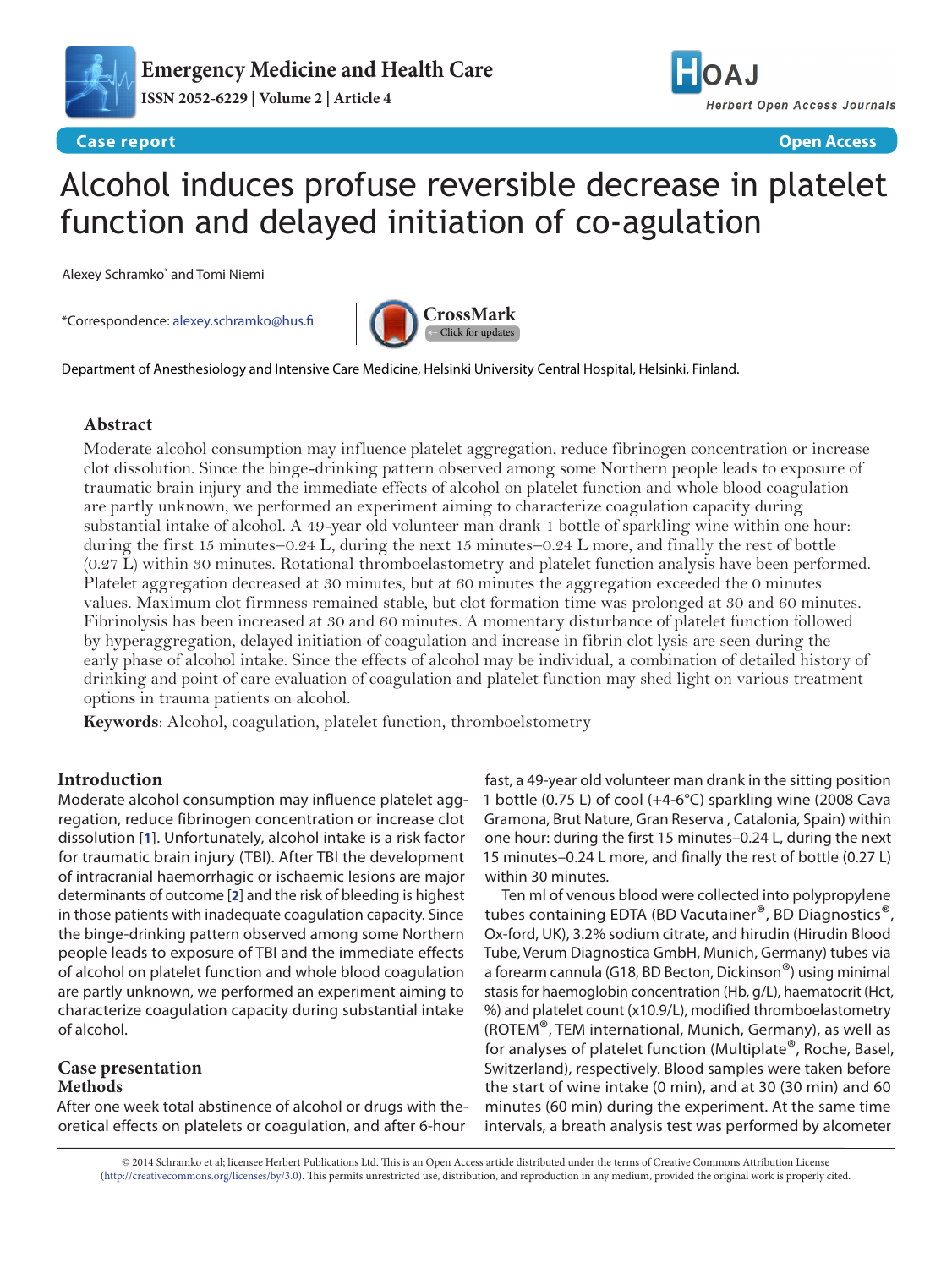

# Alcohol induces profuse reversible decrease in platelet function and delayed initiation of co-agulation

Alexey Schramko\* and Tomi Niemi

\*Correspondence: [alexey.schramko@hus.fi](mailto:alexey.schramko%40hus.fi?subject=)



Department of Anesthesiology and Intensive Care Medicine, Helsinki University Central Hospital, Helsinki, Finland.

# **Abstract**

Moderate alcohol consumption may influence platelet aggregation, reduce fibrinogen concentration or increase clot dissolution. Since the binge-drinking pattern observed among some Northern people leads to exposure of traumatic brain injury and the immediate effects of alcohol on platelet function and whole blood coagulation are partly unknown, we performed an experiment aiming to characterize coagulation capacity during substantial intake of alcohol. A 49-year old volunteer man drank 1 bottle of sparkling wine within one hour: during the first 15 minutes–0.24 L, during the next 15 minutes–0.24 L more, and finally the rest of bottle (0.27 L) within 30 minutes. Rotational thromboelastometry and platelet function analysis have been performed. Platelet aggregation decreased at 30 minutes, but at 60 minutes the aggregation exceeded the 0 minutes values. Maximum clot firmness remained stable, but clot formation time was prolonged at 30 and 60 minutes. Fibrinolysis has been increased at 30 and 60 minutes. A momentary disturbance of platelet function followed by hyperaggregation, delayed initiation of coagulation and increase in fibrin clot lysis are seen during the early phase of alcohol intake. Since the effects of alcohol may be individual, a combination of detailed history of drinking and point of care evaluation of coagulation and platelet function may shed light on various treatment options in trauma patients on alcohol.

**Keywords**: Alcohol, coagulation, platelet function, thromboelstometry

# **Introduction**

Moderate alcohol consumption may influence platelet aggregation, reduce fibrinogen concentration or increase clot dissolution [**[1](#page-2-0)**]. Unfortunately, alcohol intake is a risk factor for traumatic brain injury (TBI). After TBI the development of intracranial haemorrhagic or ischaemic lesions are major determinants of outcome [**[2](#page-2-1)**] and the risk of bleeding is highest in those patients with inadequate coagulation capacity. Since the binge-drinking pattern observed among some Northern people leads to exposure of TBI and the immediate effects of alcohol on platelet function and whole blood coagulation are partly unknown, we performed an experiment aiming to characterize coagulation capacity during substantial intake of alcohol.

# **Case presentation Methods**

After one week total abstinence of alcohol or drugs with theoretical effects on platelets or coagulation, and after 6-hour

fast, a 49-year old volunteer man drank in the sitting position 1 bottle (0.75 L) of cool (+4-6°C) sparkling wine (2008 Cava Gramona, Brut Nature, Gran Reserva , Catalonia, Spain) within one hour: during the first 15 minutes–0.24 L, during the next 15 minutes–0.24 L more, and finally the rest of bottle (0.27 L) within 30 minutes.

Ten ml of venous blood were collected into polypropylene tubes containing EDTA (BD Vacutainer®, BD Diagnostics®, Ox-ford, UK), 3.2% sodium citrate, and hirudin (Hirudin Blood Tube, Verum Diagnostica GmbH, Munich, Germany) tubes via a forearm cannula (G18, BD Becton, Dickinson®) using minimal stasis for haemoglobin concentration (Hb, g/L), haematocrit (Hct, %) and platelet count (x10.9/L), modified thromboelastometry (ROTEM®, TEM international, Munich, Germany), as well as for analyses of platelet function (Multiplate®, Roche, Basel, Switzerland), respectively. Blood samples were taken before the start of wine intake (0 min), and at 30 (30 min) and 60 minutes (60 min) during the experiment. At the same time intervals, a breath analysis test was performed by alcometer

© 2014 Schramko et al; licensee Herbert Publications Ltd. This is an Open Access article distributed under the terms of Creative Commons Attribution License [\(http://creativecommons.org/licenses/by/3.0\)](http://creativecommons.org/licenses/by/3.0). This permits unrestricted use, distribution, and reproduction in any medium, provided the original work is properly cited.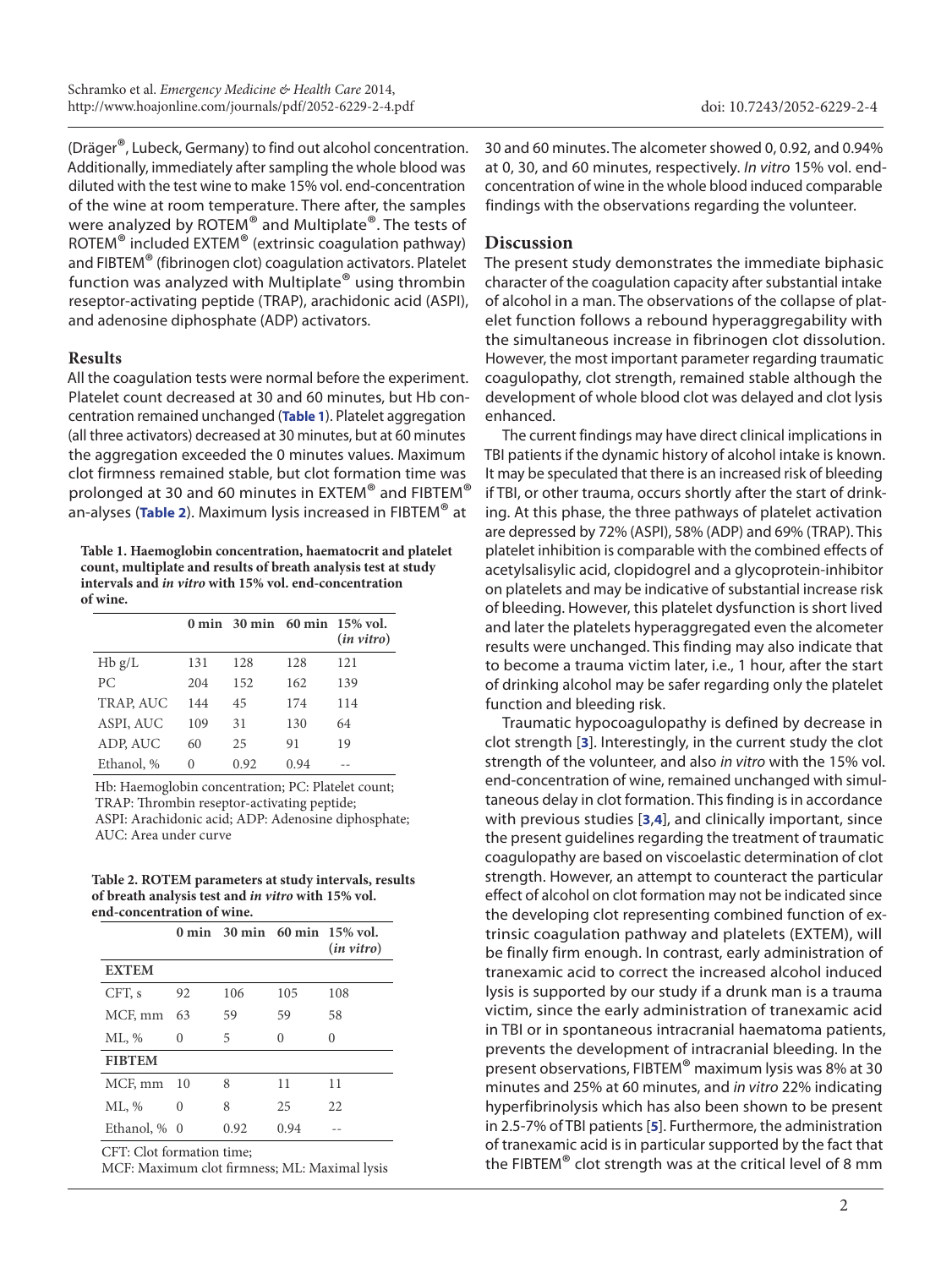doi: [10.7243/2052-6229-2-4](http://dx.doi.org/10.7243/2052-6229-2-4)

(Dräger®, Lubeck, Germany) to find out alcohol concentration. Additionally, immediately after sampling the whole blood was diluted with the test wine to make 15% vol. end-concentration of the wine at room temperature. There after, the samples were analyzed by ROTEM® and Multiplate®. The tests of ROTEM® included EXTEM® (extrinsic coagulation pathway) and FIBTEM® (fibrinogen clot) coagulation activators. Platelet function was analyzed with Multiplate® using thrombin reseptor-activating peptide (TRAP), arachidonic acid (ASPI), and adenosine diphosphate (ADP) activators.

### **Results**

All the coagulation tests were normal before the experiment. Platelet count decreased at 30 and 60 minutes, but Hb concentration remained unchanged (**Table 1**). Platelet aggregation (all three activators) decreased at 30 minutes, but at 60 minutes the aggregation exceeded the 0 minutes values. Maximum clot firmness remained stable, but clot formation time was prolonged at 30 and 60 minutes in EXTEM® and FIBTEM® an-alyses (**Table 2**). Maximum lysis increased in FIBTEM® at

**Table 1. Haemoglobin concentration, haematocrit and platelet count, multiplate and results of breath analysis test at study intervals and** *in vitro* **with 15% vol. end-concentration of wine.**

|                  |     |      |      | $0 \text{ min}$ 30 min 60 min 15% vol.<br>$(in \text{ vitro})$ |
|------------------|-----|------|------|----------------------------------------------------------------|
| Hb g/L           | 131 | 128  | 128  | 121                                                            |
| PC.              | 204 | 152  | 162  | 139                                                            |
| <b>TRAP, AUC</b> | 144 | 45   | 174  | 114                                                            |
| ASPI, AUC        | 109 | 31   | 130  | 64                                                             |
| ADP, AUC         | 60  | 25   | 91   | 19                                                             |
| Ethanol, %       | 0   | 0.92 | 0.94 |                                                                |

Hb: Haemoglobin concentration; PC: Platelet count; TRAP: Thrombin reseptor-activating peptide; ASPI: Arachidonic acid; ADP: Adenosine diphosphate; AUC: Area under curve

**Table 2. ROTEM parameters at study intervals, results of breath analysis test and** *in vitro* **with 15% vol. end-concentration of wine.**

|               |          |      |      | 0 min 30 min 60 min 15% vol.<br>$(in \text{ vitro})$ |
|---------------|----------|------|------|------------------------------------------------------|
| <b>EXTEM</b>  |          |      |      |                                                      |
| CFT, s        | 92       | 106  | 105  | 108                                                  |
| MCF, mm       | 63       | 59   | 59   | 58                                                   |
| ML, %         | 0        | 5    | 0    | 0                                                    |
| <b>FIRTEM</b> |          |      |      |                                                      |
| MCF, mm       | - 10     | 8    | 11   | 11                                                   |
| ML, %         | $\Omega$ | 8    | 25   | 22                                                   |
| Ethanol, % 0  |          | 0.92 | 0.94 |                                                      |

MCF: Maximum clot firmness; ML: Maximal lysis

30 and 60 minutes. The alcometer showed 0, 0.92, and 0.94% at 0, 30, and 60 minutes, respectively. *In vitro* 15% vol. endconcentration of wine in the whole blood induced comparable findings with the observations regarding the volunteer.

## **Discussion**

The present study demonstrates the immediate biphasic character of the coagulation capacity after substantial intake of alcohol in a man. The observations of the collapse of platelet function follows a rebound hyperaggregability with the simultaneous increase in fibrinogen clot dissolution. However, the most important parameter regarding traumatic coagulopathy, clot strength, remained stable although the development of whole blood clot was delayed and clot lysis enhanced.

The current findings may have direct clinical implications in TBI patients if the dynamic history of alcohol intake is known. It may be speculated that there is an increased risk of bleeding if TBI, or other trauma, occurs shortly after the start of drinking. At this phase, the three pathways of platelet activation are depressed by 72% (ASPI), 58% (ADP) and 69% (TRAP). This platelet inhibition is comparable with the combined effects of acetylsalisylic acid, clopidogrel and a glycoprotein-inhibitor on platelets and may be indicative of substantial increase risk of bleeding. However, this platelet dysfunction is short lived and later the platelets hyperaggregated even the alcometer results were unchanged. This finding may also indicate that to become a trauma victim later, i.e., 1 hour, after the start of drinking alcohol may be safer regarding only the platelet function and bleeding risk.

Traumatic hypocoagulopathy is defined by decrease in clot strength [**[3](#page-2-2)**]. Interestingly, in the current study the clot strength of the volunteer, and also *in vitro* with the 15% vol. end-concentration of wine, remained unchanged with simultaneous delay in clot formation. This finding is in accordance with previous studies [**[3](#page-2-2)**,**[4](#page-2-3)**], and clinically important, since the present guidelines regarding the treatment of traumatic coagulopathy are based on viscoelastic determination of clot strength. However, an attempt to counteract the particular effect of alcohol on clot formation may not be indicated since the developing clot representing combined function of extrinsic coagulation pathway and platelets (EXTEM), will be finally firm enough. In contrast, early administration of tranexamic acid to correct the increased alcohol induced lysis is supported by our study if a drunk man is a trauma victim, since the early administration of tranexamic acid in TBI or in spontaneous intracranial haematoma patients, prevents the development of intracranial bleeding. In the present observations, FIBTEM® maximum lysis was 8% at 30 minutes and 25% at 60 minutes, and *in vitro* 22% indicating hyperfibrinolysis which has also been shown to be present in 2.5-7% of TBI patients [**[5](#page-2-4)**]. Furthermore, the administration of tranexamic acid is in particular supported by the fact that the FIBTEM® clot strength was at the critical level of 8 mm